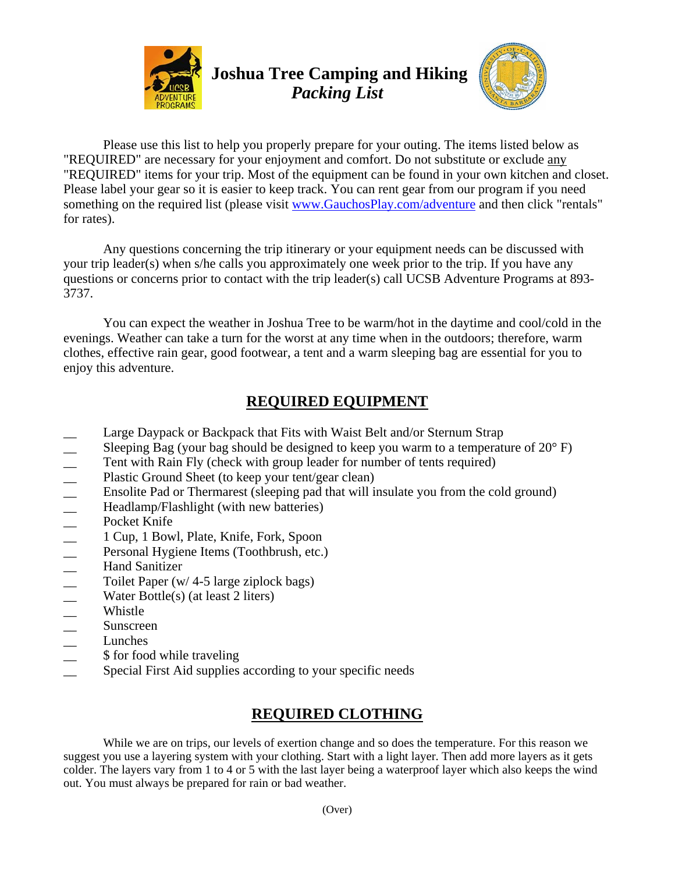



Please use this list to help you properly prepare for your outing. The items listed below as "REQUIRED" are necessary for your enjoyment and comfort. Do not substitute or exclude any "REQUIRED" items for your trip. Most of the equipment can be found in your own kitchen and closet. Please label your gear so it is easier to keep track. You can rent gear from our program if you need something on the required list (please visit www.GauchosPlay.com/adventure and then click "rentals" for rates).

Any questions concerning the trip itinerary or your equipment needs can be discussed with your trip leader(s) when s/he calls you approximately one week prior to the trip. If you have any questions or concerns prior to contact with the trip leader(s) call UCSB Adventure Programs at 893- 3737.

You can expect the weather in Joshua Tree to be warm/hot in the daytime and cool/cold in the evenings. Weather can take a turn for the worst at any time when in the outdoors; therefore, warm clothes, effective rain gear, good footwear, a tent and a warm sleeping bag are essential for you to enjoy this adventure.

## **REQUIRED EQUIPMENT**

- Large Daypack or Backpack that Fits with Waist Belt and/or Sternum Strap
- 
- Tent with Rain Fly (check with group leader for number of tents required)
- Plastic Ground Sheet (to keep your tent/gear clean)
- Sleeping Bag (your bag should be designed to keep you warm to a temperature of 20° F)<br>
 Tent with Rain Fly (check with group leader for number of tents required)<br>
 Ensolite Pad or Thermarest (sleeping pad that will in Ensolite Pad or Thermarest (sleeping pad that will insulate you from the cold ground)
- Headlamp/Flashlight (with new batteries)
- Pocket Knife
- \_\_ 1 Cup, 1 Bowl, Plate, Knife, Fork, Spoon
- Personal Hygiene Items (Toothbrush, etc.)
- Hand Sanitizer
- Toilet Paper (w/  $4-5$  large ziplock bags)
- Water Bottle(s) (at least 2 liters)
- \_\_ Whistle
- \_\_ Sunscreen
- \_\_ Lunches
- \$ for food while traveling
- Special First Aid supplies according to your specific needs

## **REQUIRED CLOTHING**

While we are on trips, our levels of exertion change and so does the temperature. For this reason we suggest you use a layering system with your clothing. Start with a light layer. Then add more layers as it gets colder. The layers vary from 1 to 4 or 5 with the last layer being a waterproof layer which also keeps the wind out. You must always be prepared for rain or bad weather.